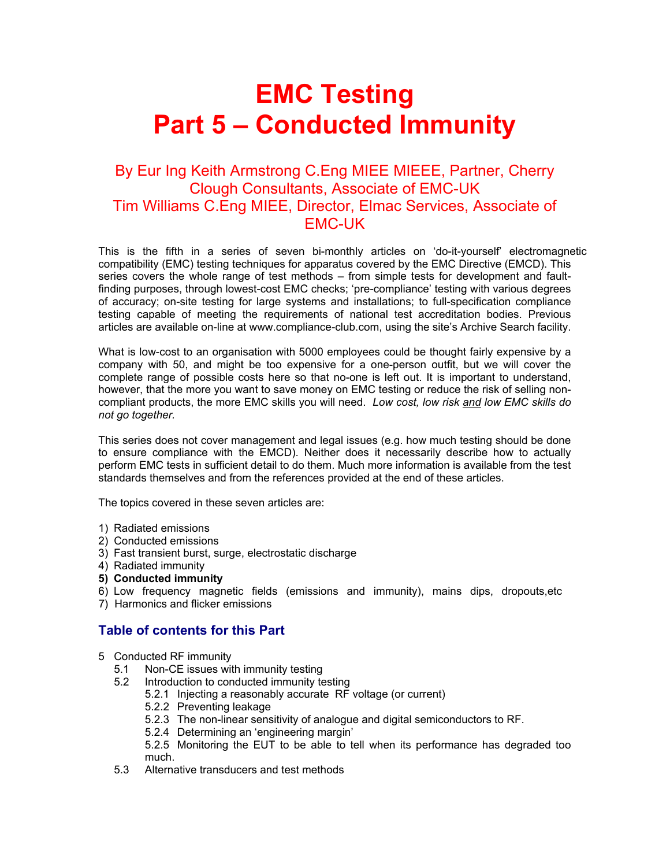# **EMC Testing Part 5 – Conducted Immunity**

# By Eur Ing Keith Armstrong C.Eng MIEE MIEEE, Partner, Cherry Clough Consultants, Associate of EMC-UK Tim Williams C.Eng MIEE, Director, Elmac Services, Associate of EMC-UK

This is the fifth in a series of seven bi-monthly articles on 'do-it-yourself' electromagnetic compatibility (EMC) testing techniques for apparatus covered by the EMC Directive (EMCD). This series covers the whole range of test methods – from simple tests for development and faultfinding purposes, through lowest-cost EMC checks; 'pre-compliance' testing with various degrees of accuracy; on-site testing for large systems and installations; to full-specification compliance testing capable of meeting the requirements of national test accreditation bodies. Previous articles are available on-line at www.compliance-club.com, using the site's Archive Search facility.

What is low-cost to an organisation with 5000 employees could be thought fairly expensive by a company with 50, and might be too expensive for a one-person outfit, but we will cover the complete range of possible costs here so that no-one is left out. It is important to understand, however, that the more you want to save money on EMC testing or reduce the risk of selling noncompliant products, the more EMC skills you will need. *Low cost, low risk and low EMC skills do not go together.* 

This series does not cover management and legal issues (e.g. how much testing should be done to ensure compliance with the EMCD). Neither does it necessarily describe how to actually perform EMC tests in sufficient detail to do them. Much more information is available from the test standards themselves and from the references provided at the end of these articles.

The topics covered in these seven articles are:

- 1) Radiated emissions
- 2) Conducted emissions
- 3) Fast transient burst, surge, electrostatic discharge
- 4) Radiated immunity
- **5) Conducted immunity**
- 6) Low frequency magnetic fields (emissions and immunity), mains dips, dropouts,etc
- 7) Harmonics and flicker emissions

# **Table of contents for this Part**

- 5 Conducted RF immunity
	- 5.1 Non-CE issues with immunity testing
	- 5.2 Introduction to conducted immunity testing
		- 5.2.1 Injecting a reasonably accurate RF voltage (or current)
		- 5.2.2 Preventing leakage
		- 5.2.3 The non-linear sensitivity of analogue and digital semiconductors to RF.
		- 5.2.4 Determining an 'engineering margin'

 5.2.5 Monitoring the EUT to be able to tell when its performance has degraded too much.

5.3 Alternative transducers and test methods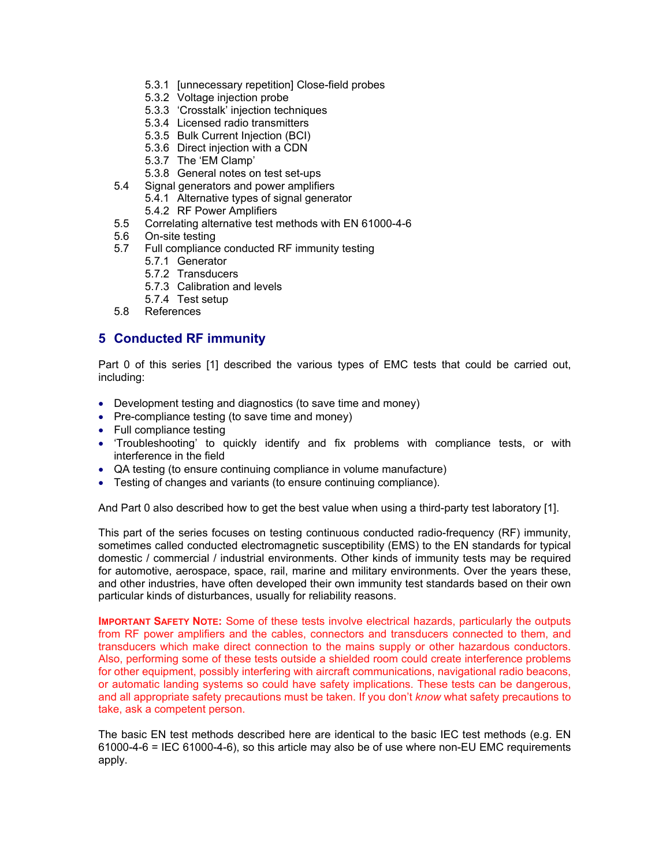- 5.3.1 [unnecessary repetition] Close-field probes
- 5.3.2 Voltage injection probe
- 5.3.3 'Crosstalk' injection techniques
- 5.3.4 Licensed radio transmitters
- 5.3.5 Bulk Current Injection (BCI)
- 5.3.6 Direct injection with a CDN
- 5.3.7 The 'EM Clamp'
- 5.3.8 General notes on test set-ups
- 5.4 Signal generators and power amplifiers
	- 5.4.1 Alternative types of signal generator
	- 5.4.2 RF Power Amplifiers
- 5.5 Correlating alternative test methods with EN 61000-4-6
- 5.6 On-site testing
- 5.7 Full compliance conducted RF immunity testing
	- 5.7.1 Generator
	- 5.7.2 Transducers
	- 5.7.3 Calibration and levels
	- 5.7.4 Test setup
- 5.8 References

# **5 Conducted RF immunity**

Part 0 of this series [1] described the various types of EMC tests that could be carried out, including:

- Development testing and diagnostics (to save time and money)
- Pre-compliance testing (to save time and money)
- Full compliance testing
- 'Troubleshooting' to quickly identify and fix problems with compliance tests, or with interference in the field
- QA testing (to ensure continuing compliance in volume manufacture)
- Testing of changes and variants (to ensure continuing compliance).

And Part 0 also described how to get the best value when using a third-party test laboratory [1].

This part of the series focuses on testing continuous conducted radio-frequency (RF) immunity, sometimes called conducted electromagnetic susceptibility (EMS) to the EN standards for typical domestic / commercial / industrial environments. Other kinds of immunity tests may be required for automotive, aerospace, space, rail, marine and military environments. Over the years these, and other industries, have often developed their own immunity test standards based on their own particular kinds of disturbances, usually for reliability reasons.

**IMPORTANT SAFETY NOTE:** Some of these tests involve electrical hazards, particularly the outputs from RF power amplifiers and the cables, connectors and transducers connected to them, and transducers which make direct connection to the mains supply or other hazardous conductors. Also, performing some of these tests outside a shielded room could create interference problems for other equipment, possibly interfering with aircraft communications, navigational radio beacons, or automatic landing systems so could have safety implications. These tests can be dangerous, and all appropriate safety precautions must be taken. If you don't *know* what safety precautions to take, ask a competent person.

The basic EN test methods described here are identical to the basic IEC test methods (e.g. EN 61000-4-6 = IEC 61000-4-6), so this article may also be of use where non-EU EMC requirements apply.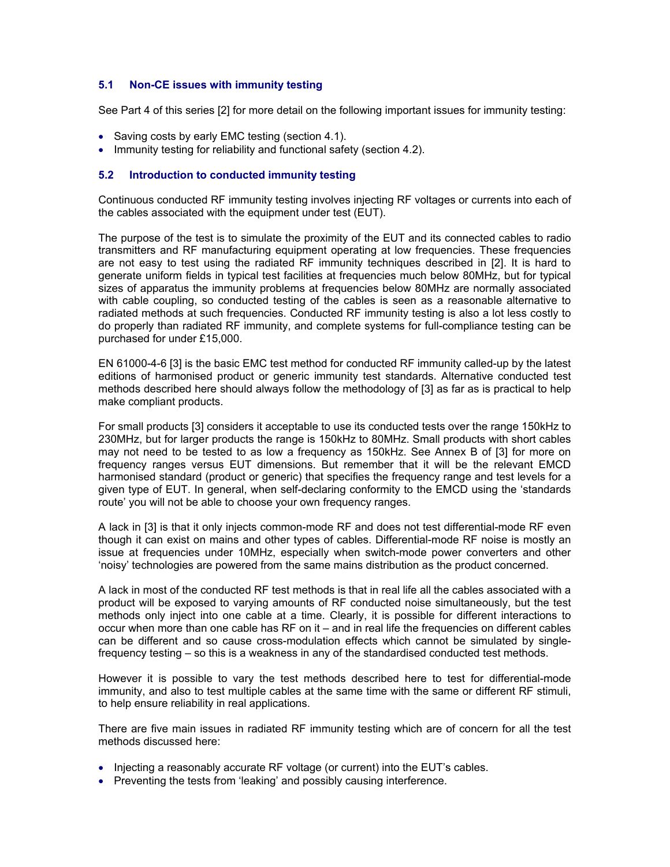# **5.1 Non-CE issues with immunity testing**

See Part 4 of this series [2] for more detail on the following important issues for immunity testing:

- Saving costs by early EMC testing (section 4.1).
- Immunity testing for reliability and functional safety (section 4.2).

#### **5.2 Introduction to conducted immunity testing**

Continuous conducted RF immunity testing involves injecting RF voltages or currents into each of the cables associated with the equipment under test (EUT).

The purpose of the test is to simulate the proximity of the EUT and its connected cables to radio transmitters and RF manufacturing equipment operating at low frequencies. These frequencies are not easy to test using the radiated RF immunity techniques described in [2]. It is hard to generate uniform fields in typical test facilities at frequencies much below 80MHz, but for typical sizes of apparatus the immunity problems at frequencies below 80MHz are normally associated with cable coupling, so conducted testing of the cables is seen as a reasonable alternative to radiated methods at such frequencies. Conducted RF immunity testing is also a lot less costly to do properly than radiated RF immunity, and complete systems for full-compliance testing can be purchased for under £15,000.

EN 61000-4-6 [3] is the basic EMC test method for conducted RF immunity called-up by the latest editions of harmonised product or generic immunity test standards. Alternative conducted test methods described here should always follow the methodology of [3] as far as is practical to help make compliant products.

For small products [3] considers it acceptable to use its conducted tests over the range 150kHz to 230MHz, but for larger products the range is 150kHz to 80MHz. Small products with short cables may not need to be tested to as low a frequency as 150kHz. See Annex B of [3] for more on frequency ranges versus EUT dimensions. But remember that it will be the relevant EMCD harmonised standard (product or generic) that specifies the frequency range and test levels for a given type of EUT. In general, when self-declaring conformity to the EMCD using the 'standards route' you will not be able to choose your own frequency ranges.

A lack in [3] is that it only injects common-mode RF and does not test differential-mode RF even though it can exist on mains and other types of cables. Differential-mode RF noise is mostly an issue at frequencies under 10MHz, especially when switch-mode power converters and other 'noisy' technologies are powered from the same mains distribution as the product concerned.

A lack in most of the conducted RF test methods is that in real life all the cables associated with a product will be exposed to varying amounts of RF conducted noise simultaneously, but the test methods only inject into one cable at a time. Clearly, it is possible for different interactions to occur when more than one cable has RF on it – and in real life the frequencies on different cables can be different and so cause cross-modulation effects which cannot be simulated by singlefrequency testing – so this is a weakness in any of the standardised conducted test methods.

However it is possible to vary the test methods described here to test for differential-mode immunity, and also to test multiple cables at the same time with the same or different RF stimuli, to help ensure reliability in real applications.

There are five main issues in radiated RF immunity testing which are of concern for all the test methods discussed here:

- Injecting a reasonably accurate RF voltage (or current) into the EUT's cables.
- Preventing the tests from 'leaking' and possibly causing interference.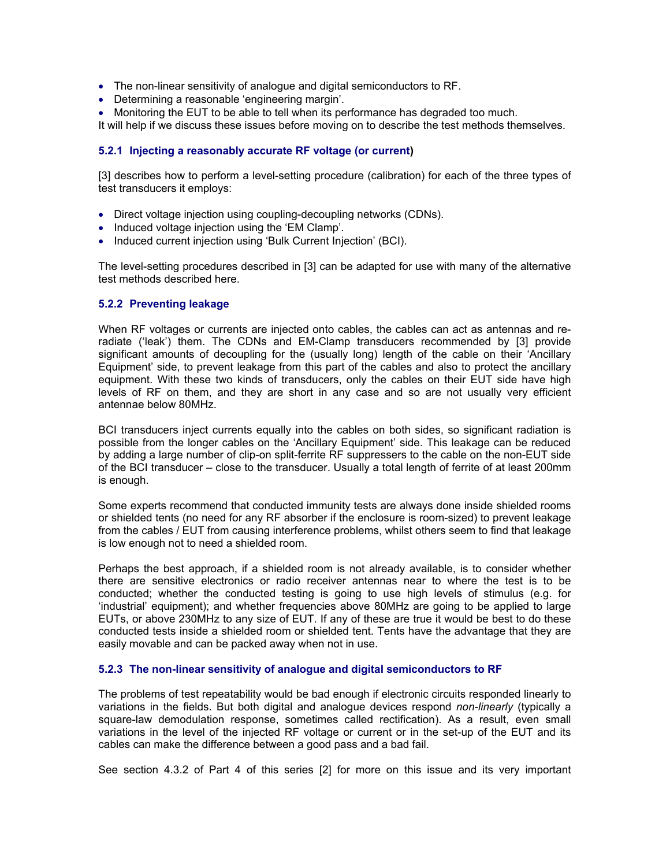- The non-linear sensitivity of analogue and digital semiconductors to RF.
- Determining a reasonable 'engineering margin'.
- Monitoring the EUT to be able to tell when its performance has degraded too much.

It will help if we discuss these issues before moving on to describe the test methods themselves.

#### **5.2.1 Injecting a reasonably accurate RF voltage (or current)**

[3] describes how to perform a level-setting procedure (calibration) for each of the three types of test transducers it employs:

- Direct voltage injection using coupling-decoupling networks (CDNs).
- Induced voltage injection using the 'EM Clamp'.
- Induced current injection using 'Bulk Current Injection' (BCI).

The level-setting procedures described in [3] can be adapted for use with many of the alternative test methods described here.

#### **5.2.2 Preventing leakage**

When RF voltages or currents are injected onto cables, the cables can act as antennas and reradiate ('leak') them. The CDNs and EM-Clamp transducers recommended by [3] provide significant amounts of decoupling for the (usually long) length of the cable on their 'Ancillary Equipment' side, to prevent leakage from this part of the cables and also to protect the ancillary equipment. With these two kinds of transducers, only the cables on their EUT side have high levels of RF on them, and they are short in any case and so are not usually very efficient antennae below 80MHz.

BCI transducers inject currents equally into the cables on both sides, so significant radiation is possible from the longer cables on the 'Ancillary Equipment' side. This leakage can be reduced by adding a large number of clip-on split-ferrite RF suppressers to the cable on the non-EUT side of the BCI transducer – close to the transducer. Usually a total length of ferrite of at least 200mm is enough.

Some experts recommend that conducted immunity tests are always done inside shielded rooms or shielded tents (no need for any RF absorber if the enclosure is room-sized) to prevent leakage from the cables / EUT from causing interference problems, whilst others seem to find that leakage is low enough not to need a shielded room.

Perhaps the best approach, if a shielded room is not already available, is to consider whether there are sensitive electronics or radio receiver antennas near to where the test is to be conducted; whether the conducted testing is going to use high levels of stimulus (e.g. for 'industrial' equipment); and whether frequencies above 80MHz are going to be applied to large EUTs, or above 230MHz to any size of EUT. If any of these are true it would be best to do these conducted tests inside a shielded room or shielded tent. Tents have the advantage that they are easily movable and can be packed away when not in use.

#### **5.2.3 The non-linear sensitivity of analogue and digital semiconductors to RF**

The problems of test repeatability would be bad enough if electronic circuits responded linearly to variations in the fields. But both digital and analogue devices respond *non-linearly* (typically a square-law demodulation response, sometimes called rectification). As a result, even small variations in the level of the injected RF voltage or current or in the set-up of the EUT and its cables can make the difference between a good pass and a bad fail.

See section 4.3.2 of Part 4 of this series [2] for more on this issue and its very important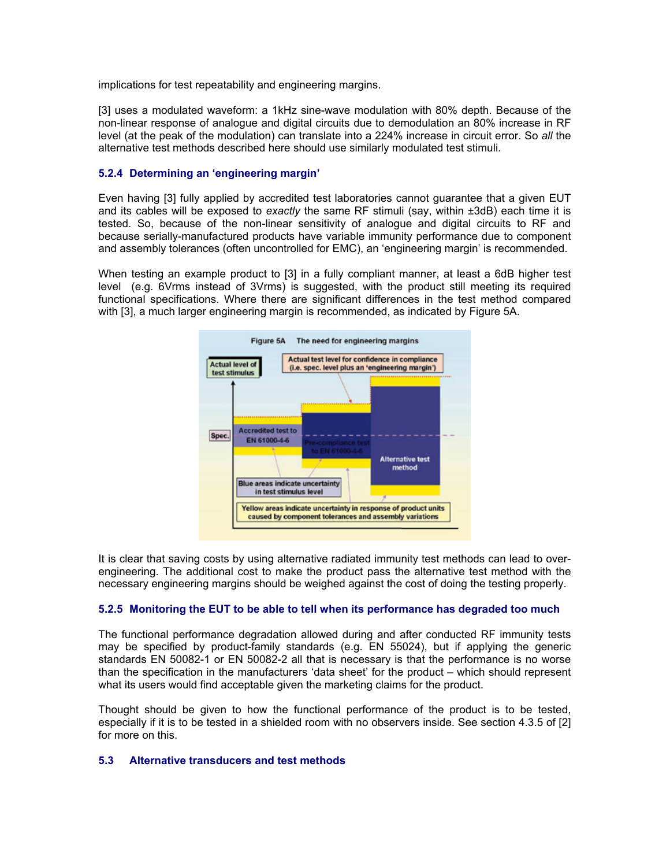implications for test repeatability and engineering margins.

[3] uses a modulated waveform: a 1kHz sine-wave modulation with 80% depth. Because of the non-linear response of analogue and digital circuits due to demodulation an 80% increase in RF level (at the peak of the modulation) can translate into a 224% increase in circuit error. So *all* the alternative test methods described here should use similarly modulated test stimuli.

# **5.2.4 Determining an 'engineering margin'**

Even having [3] fully applied by accredited test laboratories cannot guarantee that a given EUT and its cables will be exposed to *exactly* the same RF stimuli (say, within ±3dB) each time it is tested. So, because of the non-linear sensitivity of analogue and digital circuits to RF and because serially-manufactured products have variable immunity performance due to component and assembly tolerances (often uncontrolled for EMC), an 'engineering margin' is recommended.

When testing an example product to [3] in a fully compliant manner, at least a 6dB higher test level (e.g. 6Vrms instead of 3Vrms) is suggested, with the product still meeting its required functional specifications. Where there are significant differences in the test method compared with [3], a much larger engineering margin is recommended, as indicated by Figure 5A.



It is clear that saving costs by using alternative radiated immunity test methods can lead to overengineering. The additional cost to make the product pass the alternative test method with the necessary engineering margins should be weighed against the cost of doing the testing properly.

# **5.2.5 Monitoring the EUT to be able to tell when its performance has degraded too much**

The functional performance degradation allowed during and after conducted RF immunity tests may be specified by product-family standards (e.g. EN 55024), but if applying the generic standards EN 50082-1 or EN 50082-2 all that is necessary is that the performance is no worse than the specification in the manufacturers 'data sheet' for the product – which should represent what its users would find acceptable given the marketing claims for the product.

Thought should be given to how the functional performance of the product is to be tested, especially if it is to be tested in a shielded room with no observers inside. See section 4.3.5 of [2] for more on this.

# **5.3 Alternative transducers and test methods**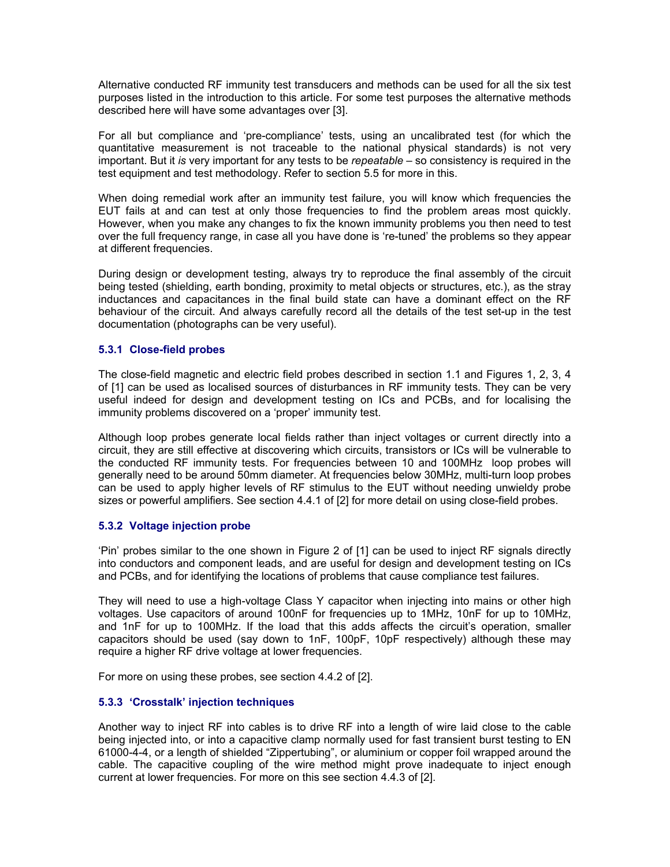Alternative conducted RF immunity test transducers and methods can be used for all the six test purposes listed in the introduction to this article. For some test purposes the alternative methods described here will have some advantages over [3].

For all but compliance and 'pre-compliance' tests, using an uncalibrated test (for which the quantitative measurement is not traceable to the national physical standards) is not very important. But it *is* very important for any tests to be *repeatable* – so consistency is required in the test equipment and test methodology. Refer to section 5.5 for more in this.

When doing remedial work after an immunity test failure, you will know which frequencies the EUT fails at and can test at only those frequencies to find the problem areas most quickly. However, when you make any changes to fix the known immunity problems you then need to test over the full frequency range, in case all you have done is 're-tuned' the problems so they appear at different frequencies.

During design or development testing, always try to reproduce the final assembly of the circuit being tested (shielding, earth bonding, proximity to metal objects or structures, etc.), as the stray inductances and capacitances in the final build state can have a dominant effect on the RF behaviour of the circuit. And always carefully record all the details of the test set-up in the test documentation (photographs can be very useful).

# **5.3.1 Close-field probes**

The close-field magnetic and electric field probes described in section 1.1 and Figures 1, 2, 3, 4 of [1] can be used as localised sources of disturbances in RF immunity tests. They can be very useful indeed for design and development testing on ICs and PCBs, and for localising the immunity problems discovered on a 'proper' immunity test.

Although loop probes generate local fields rather than inject voltages or current directly into a circuit, they are still effective at discovering which circuits, transistors or ICs will be vulnerable to the conducted RF immunity tests. For frequencies between 10 and 100MHz loop probes will generally need to be around 50mm diameter. At frequencies below 30MHz, multi-turn loop probes can be used to apply higher levels of RF stimulus to the EUT without needing unwieldy probe sizes or powerful amplifiers. See section 4.4.1 of [2] for more detail on using close-field probes.

# **5.3.2 Voltage injection probe**

'Pin' probes similar to the one shown in Figure 2 of [1] can be used to inject RF signals directly into conductors and component leads, and are useful for design and development testing on ICs and PCBs, and for identifying the locations of problems that cause compliance test failures.

They will need to use a high-voltage Class Y capacitor when injecting into mains or other high voltages. Use capacitors of around 100nF for frequencies up to 1MHz, 10nF for up to 10MHz, and 1nF for up to 100MHz. If the load that this adds affects the circuit's operation, smaller capacitors should be used (say down to 1nF, 100pF, 10pF respectively) although these may require a higher RF drive voltage at lower frequencies.

For more on using these probes, see section 4.4.2 of [2].

# **5.3.3 'Crosstalk' injection techniques**

Another way to inject RF into cables is to drive RF into a length of wire laid close to the cable being injected into, or into a capacitive clamp normally used for fast transient burst testing to EN 61000-4-4, or a length of shielded "Zippertubing", or aluminium or copper foil wrapped around the cable. The capacitive coupling of the wire method might prove inadequate to inject enough current at lower frequencies. For more on this see section 4.4.3 of [2].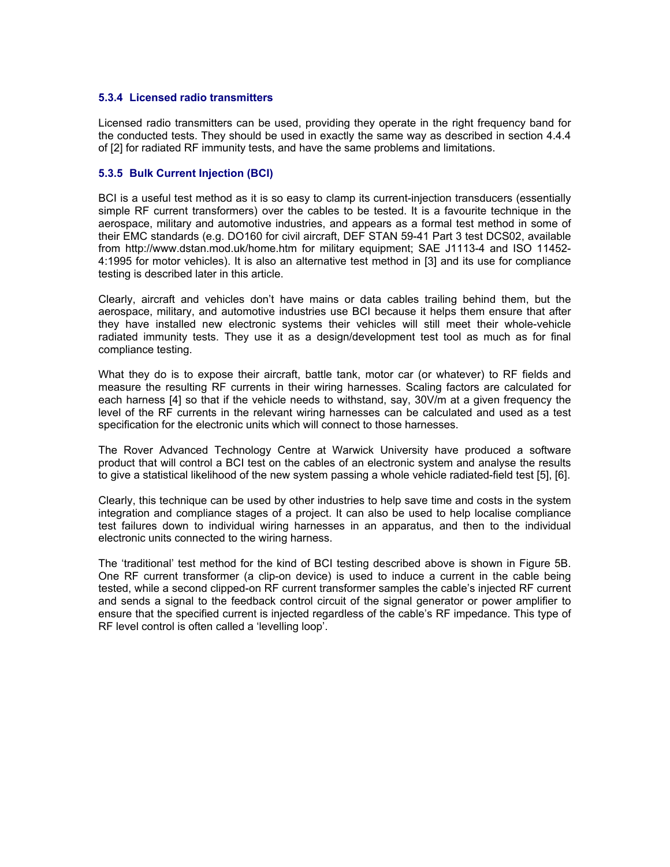#### **5.3.4 Licensed radio transmitters**

Licensed radio transmitters can be used, providing they operate in the right frequency band for the conducted tests. They should be used in exactly the same way as described in section 4.4.4 of [2] for radiated RF immunity tests, and have the same problems and limitations.

# **5.3.5 Bulk Current Injection (BCI)**

BCI is a useful test method as it is so easy to clamp its current-injection transducers (essentially simple RF current transformers) over the cables to be tested. It is a favourite technique in the aerospace, military and automotive industries, and appears as a formal test method in some of their EMC standards (e.g. DO160 for civil aircraft, DEF STAN 59-41 Part 3 test DCS02, available from http://www.dstan.mod.uk/home.htm for military equipment; SAE J1113-4 and ISO 11452- 4:1995 for motor vehicles). It is also an alternative test method in [3] and its use for compliance testing is described later in this article.

Clearly, aircraft and vehicles don't have mains or data cables trailing behind them, but the aerospace, military, and automotive industries use BCI because it helps them ensure that after they have installed new electronic systems their vehicles will still meet their whole-vehicle radiated immunity tests. They use it as a design/development test tool as much as for final compliance testing.

What they do is to expose their aircraft, battle tank, motor car (or whatever) to RF fields and measure the resulting RF currents in their wiring harnesses. Scaling factors are calculated for each harness [4] so that if the vehicle needs to withstand, say, 30V/m at a given frequency the level of the RF currents in the relevant wiring harnesses can be calculated and used as a test specification for the electronic units which will connect to those harnesses.

The Rover Advanced Technology Centre at Warwick University have produced a software product that will control a BCI test on the cables of an electronic system and analyse the results to give a statistical likelihood of the new system passing a whole vehicle radiated-field test [5], [6].

Clearly, this technique can be used by other industries to help save time and costs in the system integration and compliance stages of a project. It can also be used to help localise compliance test failures down to individual wiring harnesses in an apparatus, and then to the individual electronic units connected to the wiring harness.

The 'traditional' test method for the kind of BCI testing described above is shown in Figure 5B. One RF current transformer (a clip-on device) is used to induce a current in the cable being tested, while a second clipped-on RF current transformer samples the cable's injected RF current and sends a signal to the feedback control circuit of the signal generator or power amplifier to ensure that the specified current is injected regardless of the cable's RF impedance. This type of RF level control is often called a 'levelling loop'.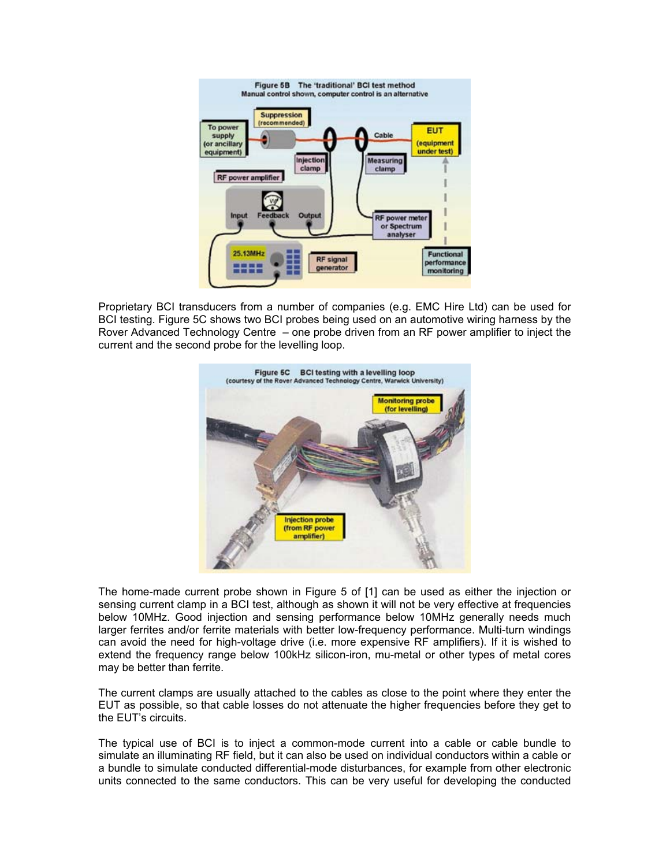

Proprietary BCI transducers from a number of companies (e.g. EMC Hire Ltd) can be used for BCI testing. Figure 5C shows two BCI probes being used on an automotive wiring harness by the Rover Advanced Technology Centre – one probe driven from an RF power amplifier to inject the current and the second probe for the levelling loop.



The home-made current probe shown in Figure 5 of [1] can be used as either the injection or sensing current clamp in a BCI test, although as shown it will not be very effective at frequencies below 10MHz. Good injection and sensing performance below 10MHz generally needs much larger ferrites and/or ferrite materials with better low-frequency performance. Multi-turn windings can avoid the need for high-voltage drive (i.e. more expensive RF amplifiers). If it is wished to extend the frequency range below 100kHz silicon-iron, mu-metal or other types of metal cores may be better than ferrite.

The current clamps are usually attached to the cables as close to the point where they enter the EUT as possible, so that cable losses do not attenuate the higher frequencies before they get to the EUT's circuits.

The typical use of BCI is to inject a common-mode current into a cable or cable bundle to simulate an illuminating RF field, but it can also be used on individual conductors within a cable or a bundle to simulate conducted differential-mode disturbances, for example from other electronic units connected to the same conductors. This can be very useful for developing the conducted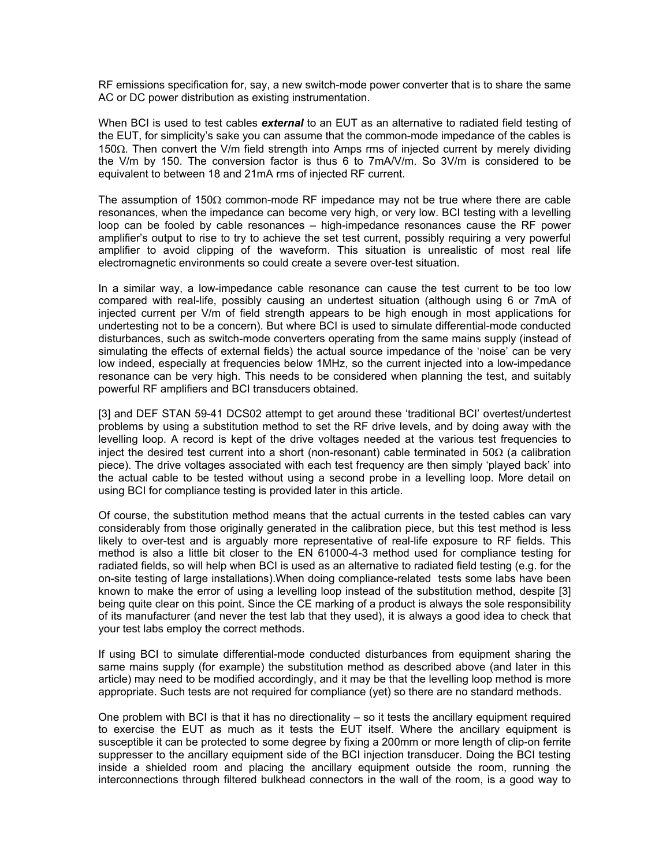RF emissions specification for, say, a new switch-mode power converter that is to share the same AC or DC power distribution as existing instrumentation.

When BCI is used to test cables *external* to an EUT as an alternative to radiated field testing of the EUT, for simplicity's sake you can assume that the common-mode impedance of the cables is 150Ω. Then convert the V/m field strength into Amps rms of injected current by merely dividing the V/m by 150. The conversion factor is thus 6 to 7mA/V/m. So 3V/m is considered to be equivalent to between 18 and 21mA rms of injected RF current.

The assumption of 150Ω common-mode RF impedance may not be true where there are cable resonances, when the impedance can become very high, or very low. BCI testing with a levelling loop can be fooled by cable resonances – high-impedance resonances cause the RF power amplifier's output to rise to try to achieve the set test current, possibly requiring a very powerful amplifier to avoid clipping of the waveform. This situation is unrealistic of most real life electromagnetic environments so could create a severe over-test situation.

In a similar way, a low-impedance cable resonance can cause the test current to be too low compared with real-life, possibly causing an undertest situation (although using 6 or 7mA of injected current per V/m of field strength appears to be high enough in most applications for undertesting not to be a concern). But where BCI is used to simulate differential-mode conducted disturbances, such as switch-mode converters operating from the same mains supply (instead of simulating the effects of external fields) the actual source impedance of the 'noise' can be very low indeed, especially at frequencies below 1MHz, so the current injected into a low-impedance resonance can be very high. This needs to be considered when planning the test, and suitably powerful RF amplifiers and BCI transducers obtained.

[3] and DEF STAN 59-41 DCS02 attempt to get around these 'traditional BCI' overtest/undertest problems by using a substitution method to set the RF drive levels, and by doing away with the levelling loop. A record is kept of the drive voltages needed at the various test frequencies to inject the desired test current into a short (non-resonant) cable terminated in 50 $\Omega$  (a calibration piece). The drive voltages associated with each test frequency are then simply 'played back' into the actual cable to be tested without using a second probe in a levelling loop. More detail on using BCI for compliance testing is provided later in this article.

Of course, the substitution method means that the actual currents in the tested cables can vary considerably from those originally generated in the calibration piece, but this test method is less likely to over-test and is arguably more representative of real-life exposure to RF fields. This method is also a little bit closer to the EN 61000-4-3 method used for compliance testing for radiated fields, so will help when BCI is used as an alternative to radiated field testing (e.g. for the on-site testing of large installations).When doing compliance-related tests some labs have been known to make the error of using a levelling loop instead of the substitution method, despite [3] being quite clear on this point. Since the CE marking of a product is always the sole responsibility of its manufacturer (and never the test lab that they used), it is always a good idea to check that your test labs employ the correct methods.

If using BCI to simulate differential-mode conducted disturbances from equipment sharing the same mains supply (for example) the substitution method as described above (and later in this article) may need to be modified accordingly, and it may be that the levelling loop method is more appropriate. Such tests are not required for compliance (yet) so there are no standard methods.

One problem with BCI is that it has no directionality – so it tests the ancillary equipment required to exercise the EUT as much as it tests the EUT itself. Where the ancillary equipment is susceptible it can be protected to some degree by fixing a 200mm or more length of clip-on ferrite suppresser to the ancillary equipment side of the BCI injection transducer. Doing the BCI testing inside a shielded room and placing the ancillary equipment outside the room, running the interconnections through filtered bulkhead connectors in the wall of the room, is a good way to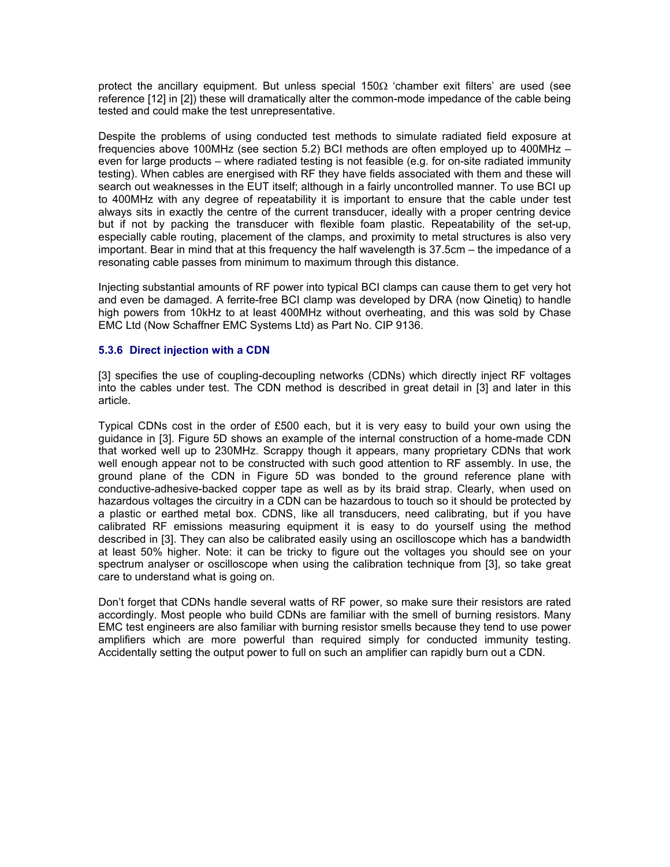protect the ancillary equipment. But unless special  $150\Omega$  'chamber exit filters' are used (see reference [12] in [2]) these will dramatically alter the common-mode impedance of the cable being tested and could make the test unrepresentative.

Despite the problems of using conducted test methods to simulate radiated field exposure at frequencies above 100MHz (see section 5.2) BCI methods are often employed up to 400MHz – even for large products – where radiated testing is not feasible (e.g. for on-site radiated immunity testing). When cables are energised with RF they have fields associated with them and these will search out weaknesses in the EUT itself; although in a fairly uncontrolled manner. To use BCI up to 400MHz with any degree of repeatability it is important to ensure that the cable under test always sits in exactly the centre of the current transducer, ideally with a proper centring device but if not by packing the transducer with flexible foam plastic. Repeatability of the set-up, especially cable routing, placement of the clamps, and proximity to metal structures is also very important. Bear in mind that at this frequency the half wavelength is 37.5cm – the impedance of a resonating cable passes from minimum to maximum through this distance.

Injecting substantial amounts of RF power into typical BCI clamps can cause them to get very hot and even be damaged. A ferrite-free BCI clamp was developed by DRA (now Qinetiq) to handle high powers from 10kHz to at least 400MHz without overheating, and this was sold by Chase EMC Ltd (Now Schaffner EMC Systems Ltd) as Part No. CIP 9136.

# **5.3.6 Direct injection with a CDN**

[3] specifies the use of coupling-decoupling networks (CDNs) which directly inject RF voltages into the cables under test. The CDN method is described in great detail in [3] and later in this article.

Typical CDNs cost in the order of £500 each, but it is very easy to build your own using the guidance in [3]. Figure 5D shows an example of the internal construction of a home-made CDN that worked well up to 230MHz. Scrappy though it appears, many proprietary CDNs that work well enough appear not to be constructed with such good attention to RF assembly. In use, the ground plane of the CDN in Figure 5D was bonded to the ground reference plane with conductive-adhesive-backed copper tape as well as by its braid strap. Clearly, when used on hazardous voltages the circuitry in a CDN can be hazardous to touch so it should be protected by a plastic or earthed metal box. CDNS, like all transducers, need calibrating, but if you have calibrated RF emissions measuring equipment it is easy to do yourself using the method described in [3]. They can also be calibrated easily using an oscilloscope which has a bandwidth at least 50% higher. Note: it can be tricky to figure out the voltages you should see on your spectrum analyser or oscilloscope when using the calibration technique from [3], so take great care to understand what is going on.

Don't forget that CDNs handle several watts of RF power, so make sure their resistors are rated accordingly. Most people who build CDNs are familiar with the smell of burning resistors. Many EMC test engineers are also familiar with burning resistor smells because they tend to use power amplifiers which are more powerful than required simply for conducted immunity testing. Accidentally setting the output power to full on such an amplifier can rapidly burn out a CDN.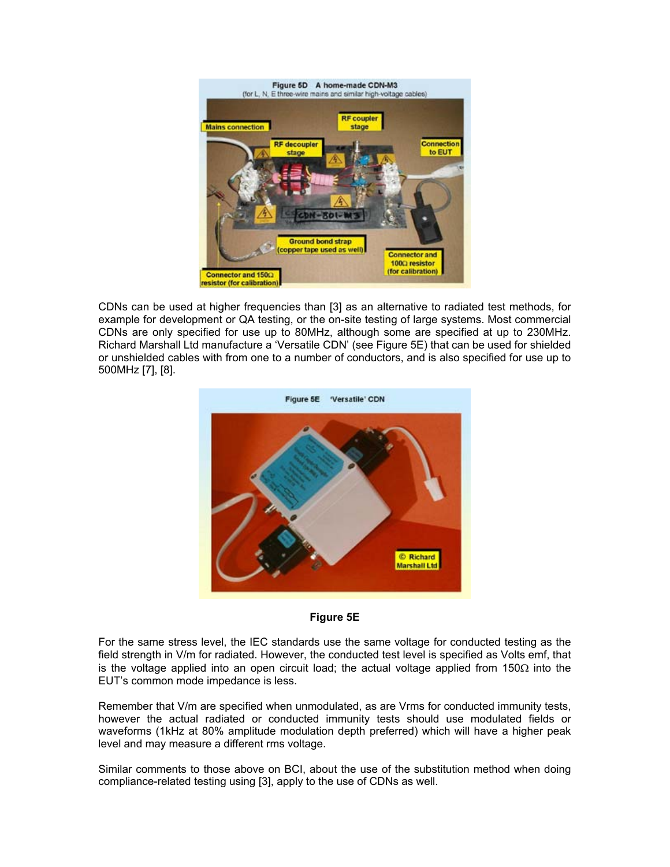

CDNs can be used at higher frequencies than [3] as an alternative to radiated test methods, for example for development or QA testing, or the on-site testing of large systems. Most commercial CDNs are only specified for use up to 80MHz, although some are specified at up to 230MHz. Richard Marshall Ltd manufacture a 'Versatile CDN' (see Figure 5E) that can be used for shielded or unshielded cables with from one to a number of conductors, and is also specified for use up to 500MHz [7], [8].





For the same stress level, the IEC standards use the same voltage for conducted testing as the field strength in V/m for radiated. However, the conducted test level is specified as Volts emf, that is the voltage applied into an open circuit load; the actual voltage applied from 150 $\Omega$  into the EUT's common mode impedance is less.

Remember that V/m are specified when unmodulated, as are Vrms for conducted immunity tests, however the actual radiated or conducted immunity tests should use modulated fields or waveforms (1kHz at 80% amplitude modulation depth preferred) which will have a higher peak level and may measure a different rms voltage.

Similar comments to those above on BCI, about the use of the substitution method when doing compliance-related testing using [3], apply to the use of CDNs as well.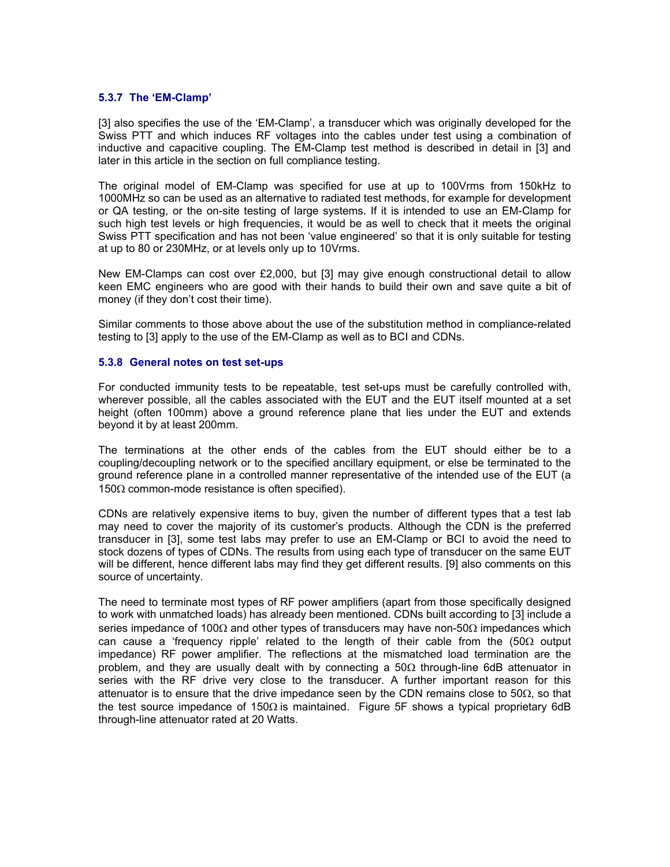#### **5.3.7 The 'EM-Clamp'**

[3] also specifies the use of the 'EM-Clamp', a transducer which was originally developed for the Swiss PTT and which induces RF voltages into the cables under test using a combination of inductive and capacitive coupling. The EM-Clamp test method is described in detail in [3] and later in this article in the section on full compliance testing.

The original model of EM-Clamp was specified for use at up to 100Vrms from 150kHz to 1000MHz so can be used as an alternative to radiated test methods, for example for development or QA testing, or the on-site testing of large systems. If it is intended to use an EM-Clamp for such high test levels or high frequencies, it would be as well to check that it meets the original Swiss PTT specification and has not been 'value engineered' so that it is only suitable for testing at up to 80 or 230MHz, or at levels only up to 10Vrms.

New EM-Clamps can cost over £2,000, but [3] may give enough constructional detail to allow keen EMC engineers who are good with their hands to build their own and save quite a bit of money (if they don't cost their time).

Similar comments to those above about the use of the substitution method in compliance-related testing to [3] apply to the use of the EM-Clamp as well as to BCI and CDNs.

# **5.3.8 General notes on test set-ups**

For conducted immunity tests to be repeatable, test set-ups must be carefully controlled with, wherever possible, all the cables associated with the EUT and the EUT itself mounted at a set height (often 100mm) above a ground reference plane that lies under the EUT and extends beyond it by at least 200mm.

The terminations at the other ends of the cables from the EUT should either be to a coupling/decoupling network or to the specified ancillary equipment, or else be terminated to the ground reference plane in a controlled manner representative of the intended use of the EUT (a 150 $Ω$  common-mode resistance is often specified).

CDNs are relatively expensive items to buy, given the number of different types that a test lab may need to cover the majority of its customer's products. Although the CDN is the preferred transducer in [3], some test labs may prefer to use an EM-Clamp or BCI to avoid the need to stock dozens of types of CDNs. The results from using each type of transducer on the same EUT will be different, hence different labs may find they get different results. [9] also comments on this source of uncertainty.

The need to terminate most types of RF power amplifiers (apart from those specifically designed to work with unmatched loads) has already been mentioned. CDNs built according to [3] include a series impedance of 100 $\Omega$  and other types of transducers may have non-50 $\Omega$  impedances which can cause a 'frequency ripple' related to the length of their cable from the (50Ω output impedance) RF power amplifier. The reflections at the mismatched load termination are the problem, and they are usually dealt with by connecting a  $50\Omega$  through-line 6dB attenuator in series with the RF drive very close to the transducer. A further important reason for this attenuator is to ensure that the drive impedance seen by the CDN remains close to 50 $\Omega$ , so that the test source impedance of 150Ω is maintained. Figure 5F shows a typical proprietary 6dB through-line attenuator rated at 20 Watts.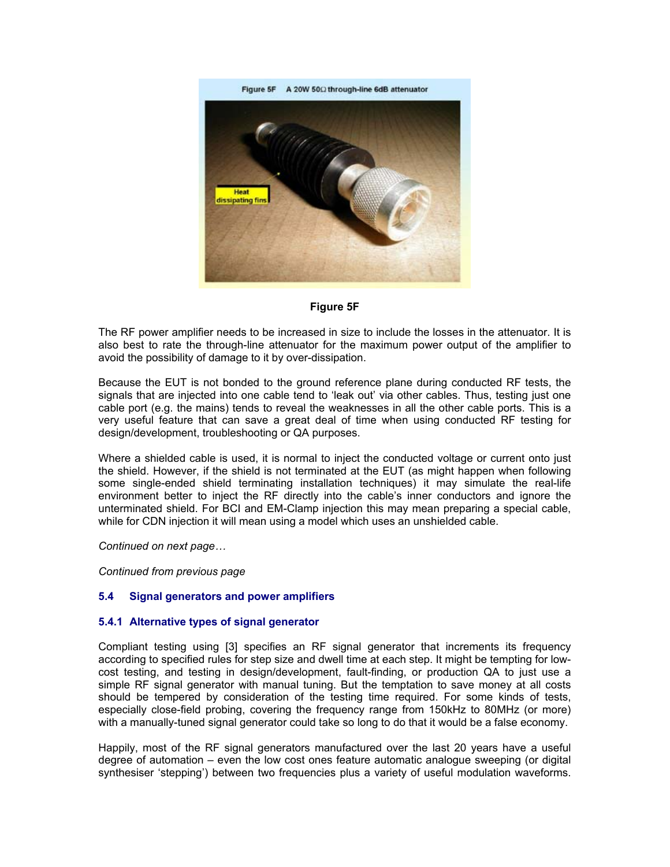

# **Figure 5F**

The RF power amplifier needs to be increased in size to include the losses in the attenuator. It is also best to rate the through-line attenuator for the maximum power output of the amplifier to avoid the possibility of damage to it by over-dissipation.

Because the EUT is not bonded to the ground reference plane during conducted RF tests, the signals that are injected into one cable tend to 'leak out' via other cables. Thus, testing just one cable port (e.g. the mains) tends to reveal the weaknesses in all the other cable ports. This is a very useful feature that can save a great deal of time when using conducted RF testing for design/development, troubleshooting or QA purposes.

Where a shielded cable is used, it is normal to inject the conducted voltage or current onto just the shield. However, if the shield is not terminated at the EUT (as might happen when following some single-ended shield terminating installation techniques) it may simulate the real-life environment better to inject the RF directly into the cable's inner conductors and ignore the unterminated shield. For BCI and EM-Clamp injection this may mean preparing a special cable, while for CDN injection it will mean using a model which uses an unshielded cable.

*Continued on next page…* 

*Continued from previous page* 

# **5.4 Signal generators and power amplifiers**

#### **5.4.1 Alternative types of signal generator**

Compliant testing using [3] specifies an RF signal generator that increments its frequency according to specified rules for step size and dwell time at each step. It might be tempting for lowcost testing, and testing in design/development, fault-finding, or production QA to just use a simple RF signal generator with manual tuning. But the temptation to save money at all costs should be tempered by consideration of the testing time required. For some kinds of tests, especially close-field probing, covering the frequency range from 150kHz to 80MHz (or more) with a manually-tuned signal generator could take so long to do that it would be a false economy.

Happily, most of the RF signal generators manufactured over the last 20 years have a useful degree of automation – even the low cost ones feature automatic analogue sweeping (or digital synthesiser 'stepping') between two frequencies plus a variety of useful modulation waveforms.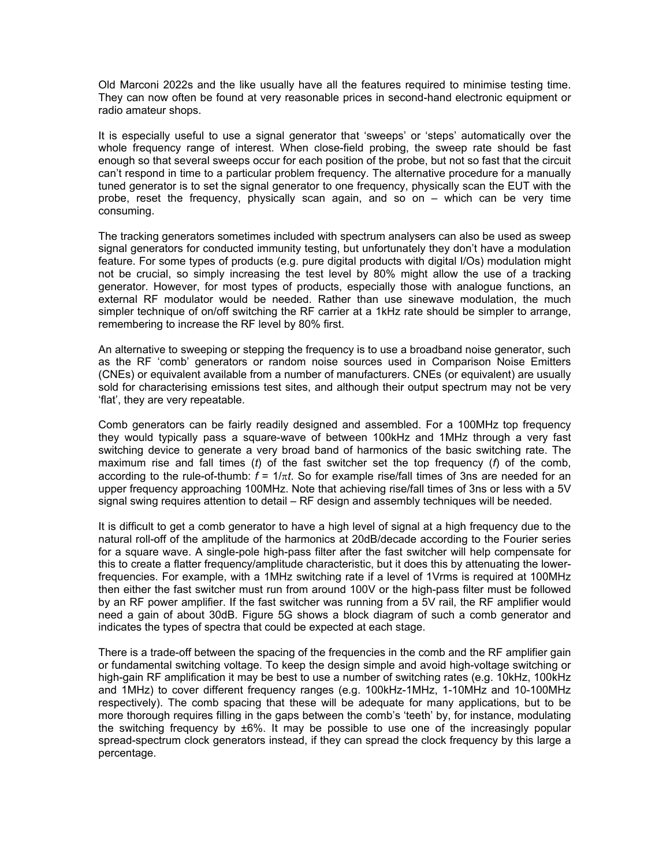Old Marconi 2022s and the like usually have all the features required to minimise testing time. They can now often be found at very reasonable prices in second-hand electronic equipment or radio amateur shops.

It is especially useful to use a signal generator that 'sweeps' or 'steps' automatically over the whole frequency range of interest. When close-field probing, the sweep rate should be fast enough so that several sweeps occur for each position of the probe, but not so fast that the circuit can't respond in time to a particular problem frequency. The alternative procedure for a manually tuned generator is to set the signal generator to one frequency, physically scan the EUT with the probe, reset the frequency, physically scan again, and so on – which can be very time consuming.

The tracking generators sometimes included with spectrum analysers can also be used as sweep signal generators for conducted immunity testing, but unfortunately they don't have a modulation feature. For some types of products (e.g. pure digital products with digital I/Os) modulation might not be crucial, so simply increasing the test level by 80% might allow the use of a tracking generator. However, for most types of products, especially those with analogue functions, an external RF modulator would be needed. Rather than use sinewave modulation, the much simpler technique of on/off switching the RF carrier at a 1kHz rate should be simpler to arrange, remembering to increase the RF level by 80% first.

An alternative to sweeping or stepping the frequency is to use a broadband noise generator, such as the RF 'comb' generators or random noise sources used in Comparison Noise Emitters (CNEs) or equivalent available from a number of manufacturers. CNEs (or equivalent) are usually sold for characterising emissions test sites, and although their output spectrum may not be very 'flat', they are very repeatable.

Comb generators can be fairly readily designed and assembled. For a 100MHz top frequency they would typically pass a square-wave of between 100kHz and 1MHz through a very fast switching device to generate a very broad band of harmonics of the basic switching rate. The maximum rise and fall times (*t*) of the fast switcher set the top frequency (*f*) of the comb, according to the rule-of-thumb:  $f = 1/\pi t$ . So for example rise/fall times of 3ns are needed for an upper frequency approaching 100MHz. Note that achieving rise/fall times of 3ns or less with a 5V signal swing requires attention to detail – RF design and assembly techniques will be needed.

It is difficult to get a comb generator to have a high level of signal at a high frequency due to the natural roll-off of the amplitude of the harmonics at 20dB/decade according to the Fourier series for a square wave. A single-pole high-pass filter after the fast switcher will help compensate for this to create a flatter frequency/amplitude characteristic, but it does this by attenuating the lowerfrequencies. For example, with a 1MHz switching rate if a level of 1Vrms is required at 100MHz then either the fast switcher must run from around 100V or the high-pass filter must be followed by an RF power amplifier. If the fast switcher was running from a 5V rail, the RF amplifier would need a gain of about 30dB. Figure 5G shows a block diagram of such a comb generator and indicates the types of spectra that could be expected at each stage.

There is a trade-off between the spacing of the frequencies in the comb and the RF amplifier gain or fundamental switching voltage. To keep the design simple and avoid high-voltage switching or high-gain RF amplification it may be best to use a number of switching rates (e.g. 10kHz, 100kHz and 1MHz) to cover different frequency ranges (e.g. 100kHz-1MHz, 1-10MHz and 10-100MHz respectively). The comb spacing that these will be adequate for many applications, but to be more thorough requires filling in the gaps between the comb's 'teeth' by, for instance, modulating the switching frequency by  $\pm 6\%$ . It may be possible to use one of the increasingly popular spread-spectrum clock generators instead, if they can spread the clock frequency by this large a percentage.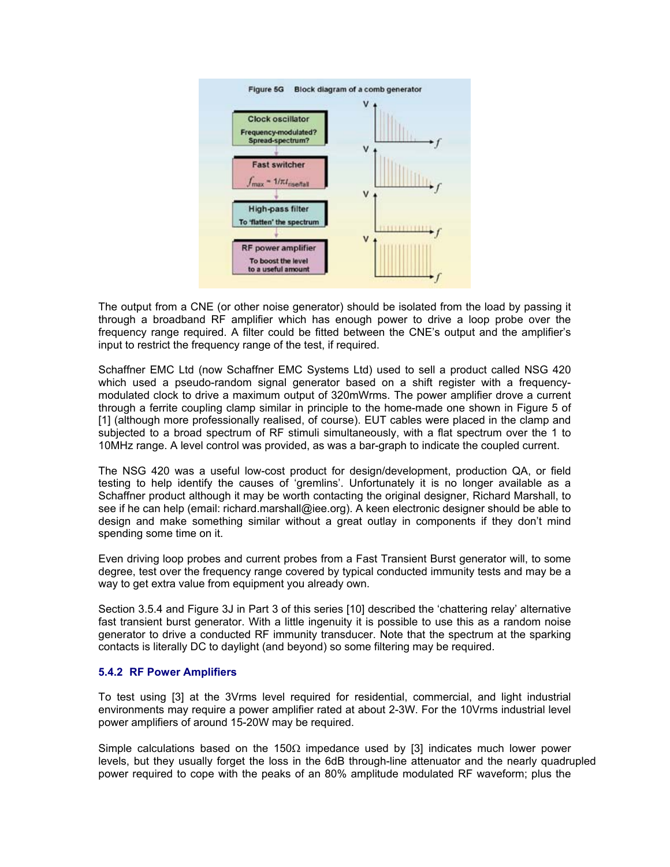

The output from a CNE (or other noise generator) should be isolated from the load by passing it through a broadband RF amplifier which has enough power to drive a loop probe over the frequency range required. A filter could be fitted between the CNE's output and the amplifier's input to restrict the frequency range of the test, if required.

Schaffner EMC Ltd (now Schaffner EMC Systems Ltd) used to sell a product called NSG 420 which used a pseudo-random signal generator based on a shift register with a frequencymodulated clock to drive a maximum output of 320mWrms. The power amplifier drove a current through a ferrite coupling clamp similar in principle to the home-made one shown in Figure 5 of [1] (although more professionally realised, of course). EUT cables were placed in the clamp and subjected to a broad spectrum of RF stimuli simultaneously, with a flat spectrum over the 1 to 10MHz range. A level control was provided, as was a bar-graph to indicate the coupled current.

The NSG 420 was a useful low-cost product for design/development, production QA, or field testing to help identify the causes of 'gremlins'. Unfortunately it is no longer available as a Schaffner product although it may be worth contacting the original designer, Richard Marshall, to see if he can help (email: richard.marshall@iee.org). A keen electronic designer should be able to design and make something similar without a great outlay in components if they don't mind spending some time on it.

Even driving loop probes and current probes from a Fast Transient Burst generator will, to some degree, test over the frequency range covered by typical conducted immunity tests and may be a way to get extra value from equipment you already own.

Section 3.5.4 and Figure 3J in Part 3 of this series [10] described the 'chattering relay' alternative fast transient burst generator. With a little ingenuity it is possible to use this as a random noise generator to drive a conducted RF immunity transducer. Note that the spectrum at the sparking contacts is literally DC to daylight (and beyond) so some filtering may be required.

# **5.4.2 RF Power Amplifiers**

To test using [3] at the 3Vrms level required for residential, commercial, and light industrial environments may require a power amplifier rated at about 2-3W. For the 10Vrms industrial level power amplifiers of around 15-20W may be required.

Simple calculations based on the 150 $\Omega$  impedance used by [3] indicates much lower power levels, but they usually forget the loss in the 6dB through-line attenuator and the nearly quadrupled power required to cope with the peaks of an 80% amplitude modulated RF waveform; plus the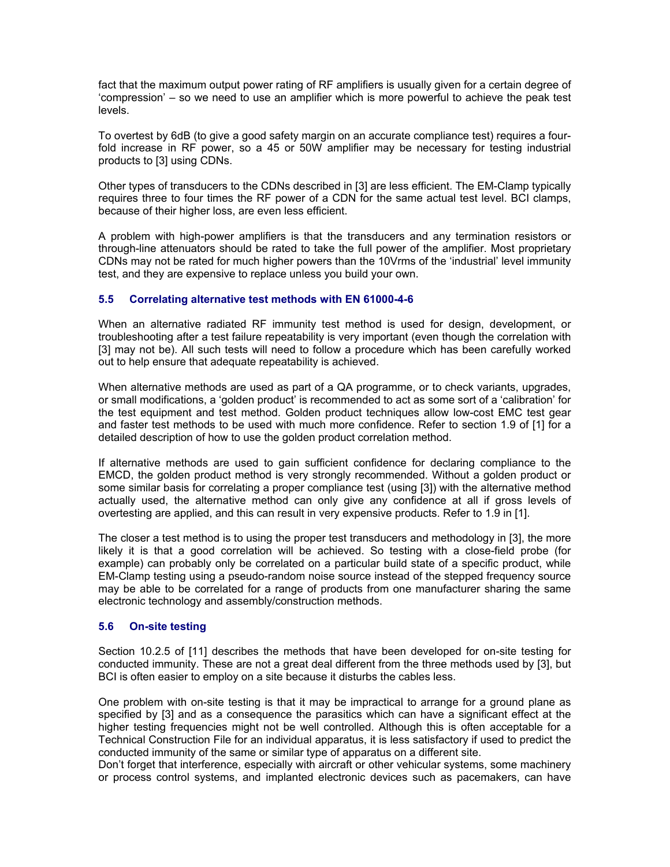fact that the maximum output power rating of RF amplifiers is usually given for a certain degree of 'compression' – so we need to use an amplifier which is more powerful to achieve the peak test levels.

To overtest by 6dB (to give a good safety margin on an accurate compliance test) requires a fourfold increase in RF power, so a 45 or 50W amplifier may be necessary for testing industrial products to [3] using CDNs.

Other types of transducers to the CDNs described in [3] are less efficient. The EM-Clamp typically requires three to four times the RF power of a CDN for the same actual test level. BCI clamps, because of their higher loss, are even less efficient.

A problem with high-power amplifiers is that the transducers and any termination resistors or through-line attenuators should be rated to take the full power of the amplifier. Most proprietary CDNs may not be rated for much higher powers than the 10Vrms of the 'industrial' level immunity test, and they are expensive to replace unless you build your own.

# **5.5 Correlating alternative test methods with EN 61000-4-6**

When an alternative radiated RF immunity test method is used for design, development, or troubleshooting after a test failure repeatability is very important (even though the correlation with [3] may not be). All such tests will need to follow a procedure which has been carefully worked out to help ensure that adequate repeatability is achieved.

When alternative methods are used as part of a QA programme, or to check variants, upgrades, or small modifications, a 'golden product' is recommended to act as some sort of a 'calibration' for the test equipment and test method. Golden product techniques allow low-cost EMC test gear and faster test methods to be used with much more confidence. Refer to section 1.9 of [1] for a detailed description of how to use the golden product correlation method.

If alternative methods are used to gain sufficient confidence for declaring compliance to the EMCD, the golden product method is very strongly recommended. Without a golden product or some similar basis for correlating a proper compliance test (using [3]) with the alternative method actually used, the alternative method can only give any confidence at all if gross levels of overtesting are applied, and this can result in very expensive products. Refer to 1.9 in [1].

The closer a test method is to using the proper test transducers and methodology in [3], the more likely it is that a good correlation will be achieved. So testing with a close-field probe (for example) can probably only be correlated on a particular build state of a specific product, while EM-Clamp testing using a pseudo-random noise source instead of the stepped frequency source may be able to be correlated for a range of products from one manufacturer sharing the same electronic technology and assembly/construction methods.

# **5.6** On-site testing

Section 10.2.5 of [11] describes the methods that have been developed for on-site testing for conducted immunity. These are not a great deal different from the three methods used by [3], but BCI is often easier to employ on a site because it disturbs the cables less.

One problem with on-site testing is that it may be impractical to arrange for a ground plane as specified by [3] and as a consequence the parasitics which can have a significant effect at the higher testing frequencies might not be well controlled. Although this is often acceptable for a Technical Construction File for an individual apparatus, it is less satisfactory if used to predict the conducted immunity of the same or similar type of apparatus on a different site.

Don't forget that interference, especially with aircraft or other vehicular systems, some machinery or process control systems, and implanted electronic devices such as pacemakers, can have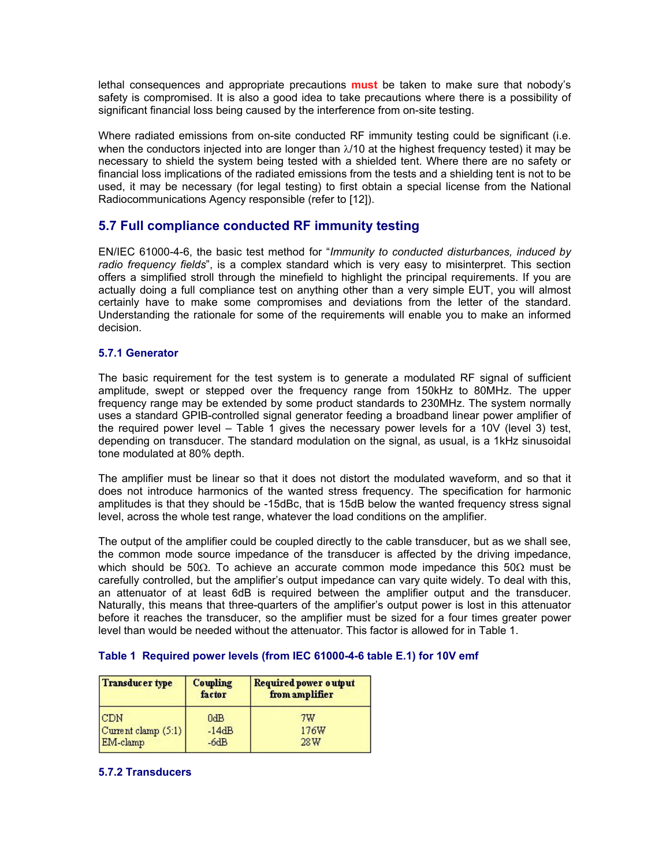lethal consequences and appropriate precautions **must** be taken to make sure that nobody's safety is compromised. It is also a good idea to take precautions where there is a possibility of significant financial loss being caused by the interference from on-site testing.

Where radiated emissions from on-site conducted RF immunity testing could be significant (i.e. when the conductors injected into are longer than  $\lambda/10$  at the highest frequency tested) it may be necessary to shield the system being tested with a shielded tent. Where there are no safety or financial loss implications of the radiated emissions from the tests and a shielding tent is not to be used, it may be necessary (for legal testing) to first obtain a special license from the National Radiocommunications Agency responsible (refer to [12]).

# **5.7 Full compliance conducted RF immunity testing**

EN/IEC 61000-4-6, the basic test method for "*Immunity to conducted disturbances, induced by radio frequency fields*", is a complex standard which is very easy to misinterpret. This section offers a simplified stroll through the minefield to highlight the principal requirements. If you are actually doing a full compliance test on anything other than a very simple EUT, you will almost certainly have to make some compromises and deviations from the letter of the standard. Understanding the rationale for some of the requirements will enable you to make an informed decision.

# **5.7.1 Generator**

The basic requirement for the test system is to generate a modulated RF signal of sufficient amplitude, swept or stepped over the frequency range from 150kHz to 80MHz. The upper frequency range may be extended by some product standards to 230MHz. The system normally uses a standard GPIB-controlled signal generator feeding a broadband linear power amplifier of the required power level – Table 1 gives the necessary power levels for a 10V (level 3) test, depending on transducer. The standard modulation on the signal, as usual, is a 1kHz sinusoidal tone modulated at 80% depth.

The amplifier must be linear so that it does not distort the modulated waveform, and so that it does not introduce harmonics of the wanted stress frequency. The specification for harmonic amplitudes is that they should be -15dBc, that is 15dB below the wanted frequency stress signal level, across the whole test range, whatever the load conditions on the amplifier.

The output of the amplifier could be coupled directly to the cable transducer, but as we shall see, the common mode source impedance of the transducer is affected by the driving impedance, which should be 50 $\Omega$ . To achieve an accurate common mode impedance this 50 $\Omega$  must be carefully controlled, but the amplifier's output impedance can vary quite widely. To deal with this, an attenuator of at least 6dB is required between the amplifier output and the transducer. Naturally, this means that three-quarters of the amplifier's output power is lost in this attenuator before it reaches the transducer, so the amplifier must be sized for a four times greater power level than would be needed without the attenuator. This factor is allowed for in Table 1.

| Transducer type       | Coupling<br>factor | Required power output<br>from amplifier |
|-----------------------|--------------------|-----------------------------------------|
| <b>CDN</b>            | 0dB                | 7W                                      |
| Current clamp $(5:1)$ | $-14dB$            | 176W                                    |
| EM-clamp              | $-6dB$             | 28W                                     |

# **Table 1 Required power levels (from IEC 61000-4-6 table E.1) for 10V emf**

# **5.7.2 Transducers**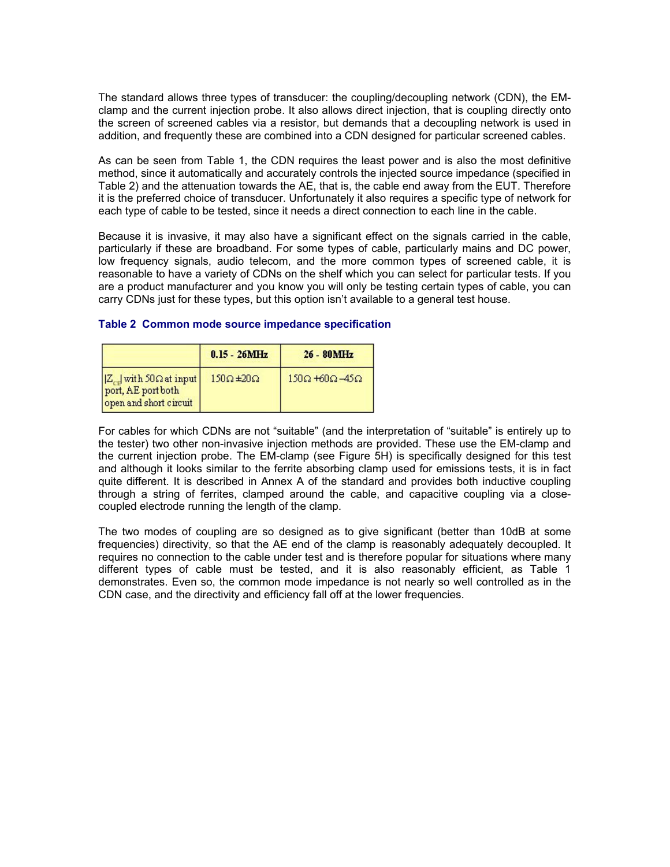The standard allows three types of transducer: the coupling/decoupling network (CDN), the EMclamp and the current injection probe. It also allows direct injection, that is coupling directly onto the screen of screened cables via a resistor, but demands that a decoupling network is used in addition, and frequently these are combined into a CDN designed for particular screened cables.

As can be seen from Table 1, the CDN requires the least power and is also the most definitive method, since it automatically and accurately controls the injected source impedance (specified in Table 2) and the attenuation towards the AE, that is, the cable end away from the EUT. Therefore it is the preferred choice of transducer. Unfortunately it also requires a specific type of network for each type of cable to be tested, since it needs a direct connection to each line in the cable.

Because it is invasive, it may also have a significant effect on the signals carried in the cable, particularly if these are broadband. For some types of cable, particularly mains and DC power, low frequency signals, audio telecom, and the more common types of screened cable, it is reasonable to have a variety of CDNs on the shelf which you can select for particular tests. If you are a product manufacturer and you know you will only be testing certain types of cable, you can carry CDNs just for these types, but this option isn't available to a general test house.

|                                                                      | $0.15 - 26MHz$           | $26 - 80MHz$                      |
|----------------------------------------------------------------------|--------------------------|-----------------------------------|
| Z with 50 Ω at input<br>port, AE port both<br>open and short circuit | $150\Omega \pm 20\Omega$ | $150\Omega + 60\Omega - 45\Omega$ |

# **Table 2 Common mode source impedance specification**

For cables for which CDNs are not "suitable" (and the interpretation of "suitable" is entirely up to the tester) two other non-invasive injection methods are provided. These use the EM-clamp and the current injection probe. The EM-clamp (see Figure 5H) is specifically designed for this test and although it looks similar to the ferrite absorbing clamp used for emissions tests, it is in fact quite different. It is described in Annex A of the standard and provides both inductive coupling through a string of ferrites, clamped around the cable, and capacitive coupling via a closecoupled electrode running the length of the clamp.

The two modes of coupling are so designed as to give significant (better than 10dB at some frequencies) directivity, so that the AE end of the clamp is reasonably adequately decoupled. It requires no connection to the cable under test and is therefore popular for situations where many different types of cable must be tested, and it is also reasonably efficient, as Table 1 demonstrates. Even so, the common mode impedance is not nearly so well controlled as in the CDN case, and the directivity and efficiency fall off at the lower frequencies.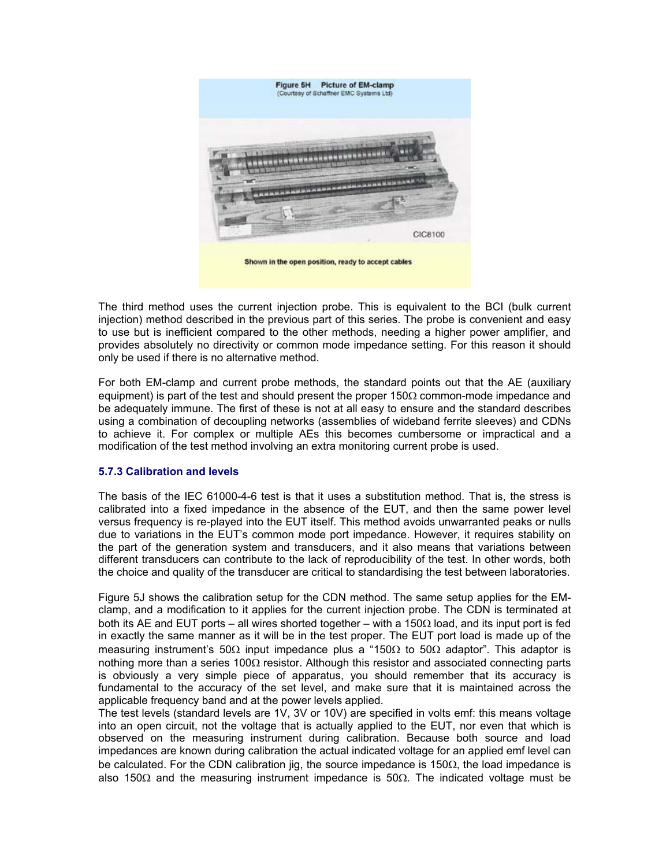

The third method uses the current injection probe. This is equivalent to the BCI (bulk current injection) method described in the previous part of this series. The probe is convenient and easy to use but is inefficient compared to the other methods, needing a higher power amplifier, and provides absolutely no directivity or common mode impedance setting. For this reason it should only be used if there is no alternative method.

For both EM-clamp and current probe methods, the standard points out that the AE (auxiliary equipment) is part of the test and should present the proper 150 $\Omega$  common-mode impedance and be adequately immune. The first of these is not at all easy to ensure and the standard describes using a combination of decoupling networks (assemblies of wideband ferrite sleeves) and CDNs to achieve it. For complex or multiple AEs this becomes cumbersome or impractical and a modification of the test method involving an extra monitoring current probe is used.

# **5.7.3 Calibration and levels**

The basis of the IEC 61000-4-6 test is that it uses a substitution method. That is, the stress is calibrated into a fixed impedance in the absence of the EUT, and then the same power level versus frequency is re-played into the EUT itself. This method avoids unwarranted peaks or nulls due to variations in the EUT's common mode port impedance. However, it requires stability on the part of the generation system and transducers, and it also means that variations between different transducers can contribute to the lack of reproducibility of the test. In other words, both the choice and quality of the transducer are critical to standardising the test between laboratories.

Figure 5J shows the calibration setup for the CDN method. The same setup applies for the EMclamp, and a modification to it applies for the current injection probe. The CDN is terminated at both its AE and EUT ports – all wires shorted together – with a 150Ω load, and its input port is fed in exactly the same manner as it will be in the test proper. The EUT port load is made up of the measuring instrument's 50 $\Omega$  input impedance plus a "150 $\Omega$  to 50 $\Omega$  adaptor". This adaptor is nothing more than a series 100Ω resistor. Although this resistor and associated connecting parts is obviously a very simple piece of apparatus, you should remember that its accuracy is fundamental to the accuracy of the set level, and make sure that it is maintained across the applicable frequency band and at the power levels applied.

The test levels (standard levels are 1V, 3V or 10V) are specified in volts emf: this means voltage into an open circuit, not the voltage that is actually applied to the EUT, nor even that which is observed on the measuring instrument during calibration. Because both source and load impedances are known during calibration the actual indicated voltage for an applied emf level can be calculated. For the CDN calibration jig, the source impedance is 150Ω, the load impedance is also 150 $\Omega$  and the measuring instrument impedance is 50 $\Omega$ . The indicated voltage must be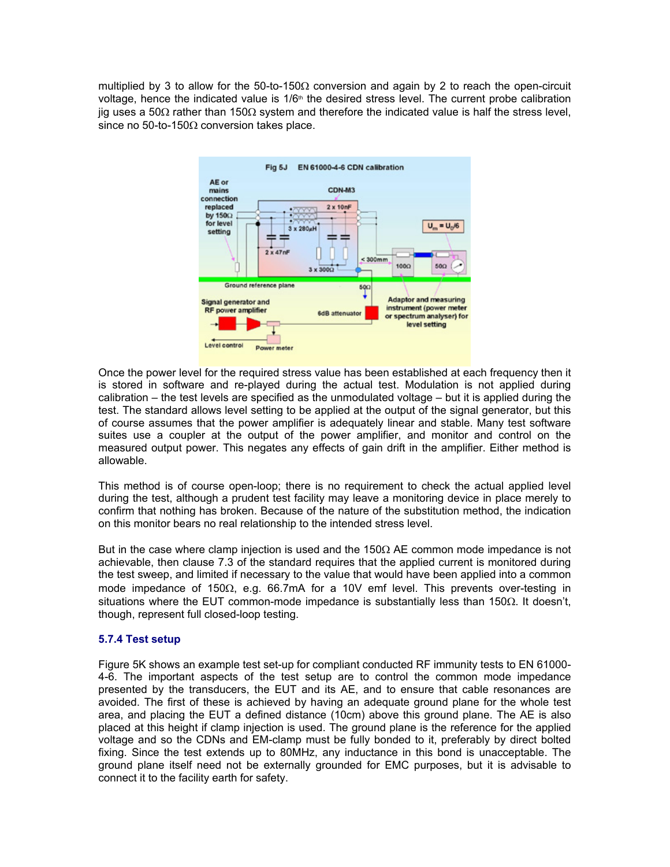multiplied by 3 to allow for the 50-to-150 $\Omega$  conversion and again by 2 to reach the open-circuit voltage, hence the indicated value is  $1/6<sup>th</sup>$  the desired stress level. The current probe calibration jig uses a 50Ω rather than 150Ω system and therefore the indicated value is half the stress level, since no 50-to-150 $\Omega$  conversion takes place.



Once the power level for the required stress value has been established at each frequency then it is stored in software and re-played during the actual test. Modulation is not applied during calibration – the test levels are specified as the unmodulated voltage – but it is applied during the test. The standard allows level setting to be applied at the output of the signal generator, but this of course assumes that the power amplifier is adequately linear and stable. Many test software suites use a coupler at the output of the power amplifier, and monitor and control on the measured output power. This negates any effects of gain drift in the amplifier. Either method is allowable.

This method is of course open-loop; there is no requirement to check the actual applied level during the test, although a prudent test facility may leave a monitoring device in place merely to confirm that nothing has broken. Because of the nature of the substitution method, the indication on this monitor bears no real relationship to the intended stress level.

But in the case where clamp injection is used and the 150 $\Omega$  AE common mode impedance is not achievable, then clause 7.3 of the standard requires that the applied current is monitored during the test sweep, and limited if necessary to the value that would have been applied into a common mode impedance of 150Ω, e.g. 66.7mA for a 10V emf level. This prevents over-testing in situations where the EUT common-mode impedance is substantially less than 150 $\Omega$ . It doesn't, though, represent full closed-loop testing.

# **5.7.4 Test setup**

Figure 5K shows an example test set-up for compliant conducted RF immunity tests to EN 61000- 4-6. The important aspects of the test setup are to control the common mode impedance presented by the transducers, the EUT and its AE, and to ensure that cable resonances are avoided. The first of these is achieved by having an adequate ground plane for the whole test area, and placing the EUT a defined distance (10cm) above this ground plane. The AE is also placed at this height if clamp injection is used. The ground plane is the reference for the applied voltage and so the CDNs and EM-clamp must be fully bonded to it, preferably by direct bolted fixing. Since the test extends up to 80MHz, any inductance in this bond is unacceptable. The ground plane itself need not be externally grounded for EMC purposes, but it is advisable to connect it to the facility earth for safety.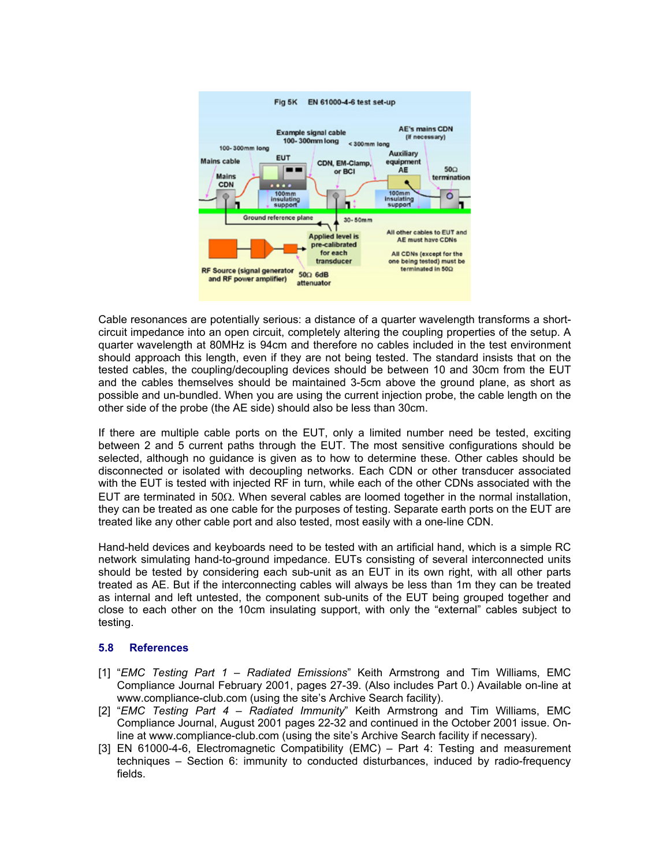

Cable resonances are potentially serious: a distance of a quarter wavelength transforms a shortcircuit impedance into an open circuit, completely altering the coupling properties of the setup. A quarter wavelength at 80MHz is 94cm and therefore no cables included in the test environment should approach this length, even if they are not being tested. The standard insists that on the tested cables, the coupling/decoupling devices should be between 10 and 30cm from the EUT and the cables themselves should be maintained 3-5cm above the ground plane, as short as possible and un-bundled. When you are using the current injection probe, the cable length on the other side of the probe (the AE side) should also be less than 30cm.

If there are multiple cable ports on the EUT, only a limited number need be tested, exciting between 2 and 5 current paths through the EUT. The most sensitive configurations should be selected, although no guidance is given as to how to determine these. Other cables should be disconnected or isolated with decoupling networks. Each CDN or other transducer associated with the EUT is tested with injected RF in turn, while each of the other CDNs associated with the EUT are terminated in 50Ω. When several cables are loomed together in the normal installation, they can be treated as one cable for the purposes of testing. Separate earth ports on the EUT are treated like any other cable port and also tested, most easily with a one-line CDN.

Hand-held devices and keyboards need to be tested with an artificial hand, which is a simple RC network simulating hand-to-ground impedance. EUTs consisting of several interconnected units should be tested by considering each sub-unit as an EUT in its own right, with all other parts treated as AE. But if the interconnecting cables will always be less than 1m they can be treated as internal and left untested, the component sub-units of the EUT being grouped together and close to each other on the 10cm insulating support, with only the "external" cables subject to testing.

# **5.8 References**

- [1] "*EMC Testing Part 1 Radiated Emissions*" Keith Armstrong and Tim Williams, EMC Compliance Journal February 2001, pages 27-39. (Also includes Part 0.) Available on-line at www.compliance-club.com (using the site's Archive Search facility).
- [2] "*EMC Testing Part 4 Radiated Immunity*" Keith Armstrong and Tim Williams, EMC Compliance Journal, August 2001 pages 22-32 and continued in the October 2001 issue. Online at www.compliance-club.com (using the site's Archive Search facility if necessary).
- [3] EN 61000-4-6, Electromagnetic Compatibility (EMC) Part 4: Testing and measurement techniques – Section 6: immunity to conducted disturbances, induced by radio-frequency fields.